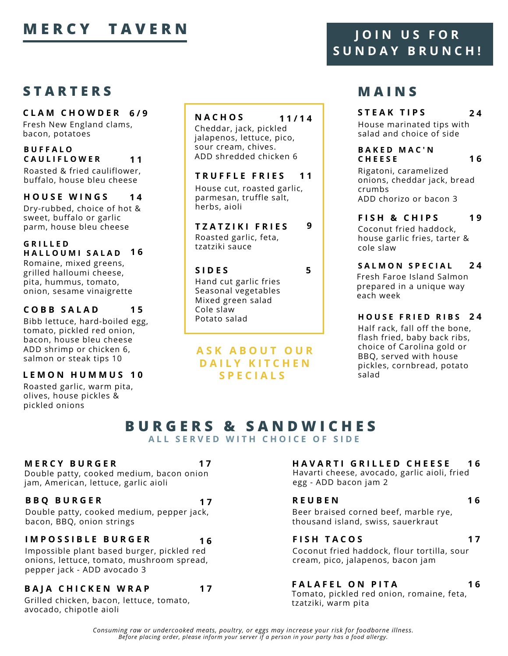# **MERCY TAVERN** JOIN US FOR

# **S T A R T E R S**

**C L A M C H O W D E R 6 / 9**

Fresh New England clams, bacon, potatoes

#### **B U F F A L O C A U L I F L O W E R 1 1**

Roasted & fried cauliflower, buffalo, house bleu cheese

#### **H O U S E W I N G S 1 4**

Dry-rubbed, choice of hot & sweet, buffalo or garlic parm, house bleu cheese

**G R I L L E D H A L L O U M I S A L A D 1 6** Romaine, mixed greens, grilled halloumi cheese, pita, hummus, tomato, onion, sesame vinaigrette

#### **C O B B S A L A D 1 5**

Bibb lettuce, hard-boiled egg, tomato, pickled red onion, bacon, house bleu cheese ADD shrimp or chicken 6, salmon or steak tips 10

## **L E M O N H U M M U S 1 0**

Roasted garlic, warm pita, olives, house pickles & pickled onions

## **N A C H O S**

Cheddar, jack, pickled jalapenos, lettuce, pico, sour cream, chives. ADD shredded chicken 6

**1 1 / 1 4**

**9**

#### **T R U F F L E F R I E S 1 1**

House cut, roasted garlic, parmesan, truffle salt, herbs, aioli

**T Z A T Z I K I F R I E S** Roasted garlic, feta, tzatziki sauce

### **S I D E S 5**

**1 7**

**1 7**

Hand cut garlic fries Seasonal vegetables Mixed green salad Cole slaw Potato salad

## **A S K A B O U T O U R D A I L Y K I T C H E N S P E C I A L S**

# **S U N D A Y B R U N C H !**

# **M A I N S**

**S T E A K T I P S 2 4**

House marinated tips with salad and choice of side

#### **B A K E D M A C ' N C H E E S E 1 6**

Rigatoni, caramelized onions, cheddar jack, bread crumbs ADD chorizo or bacon 3

**F I S H & C H I P S** Coconut fried haddock, house garlic fries, tarter & cole slaw **1 9**

#### **S A L M O N S P E C I A L** Fresh Faroe Island Salmon **2 4**

prepared in a unique way each week

## **H O U S E F R I E D R I B S 2 4**

Half rack, fall off the bone, flash fried, baby back ribs, choice of Carolina gold or BBQ, served with house pickles, cornbread, potato salad

## **B U R G E R S & S A N D W I C H E S A L L S E R V E D W I T H C H O I C E O F S I D E**

#### **M E R C Y B U R G E R**

Double patty, cooked medium, bacon onion jam, American, lettuce, garlic aioli

## **B B Q B U R G E R**

Double patty, cooked medium, pepper jack, bacon, BBQ, onion strings

### **I M P O S S I B L E B U R G E R**

Impossible plant based burger, pickled red onions, lettuce, tomato, mushroom spread, pepper jack - ADD avocado 3

#### **1 7 B A J A C H I C K E N W R A P**

Grilled chicken, bacon, lettuce, tomato, avocado, chipotle aioli

#### **H A V A R T I G R I L L E D C H E E S E 1 6**

Havarti cheese, avocado, garlic aioli, fried egg - ADD bacon jam 2

#### **R E U B E N**

Beer braised corned beef, marble rye, thousand island, swiss, sauerkraut

### **1 6 F I S H T A C O S**

**1 7**

**1 6**

Coconut fried haddock, flour tortilla, sour cream, pico, jalapenos, bacon jam

#### **F A L A F E L O N P I T A 1 6**

Tomato, pickled red onion, romaine, feta, tzatziki, warm pita

*Consuming raw or undercooked meats, poultry, or eggs may increase your risk for foodborne illness. Before placing order, please inform your server if a person in your party has a food allergy.*